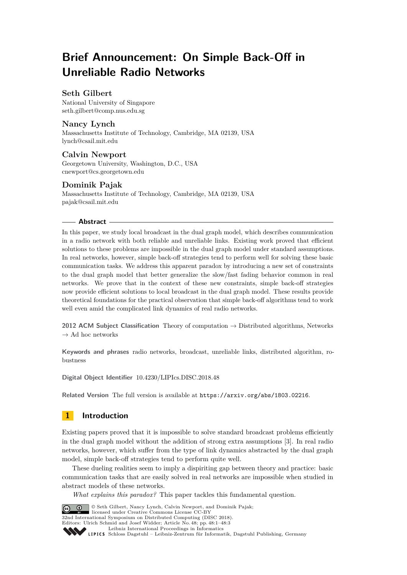# **Brief Announcement: On Simple Back-Off in Unreliable Radio Networks**

# **Seth Gilbert**

National University of Singapore [seth.gilbert@comp.nus.edu.sg](mailto:seth.gilbert@comp.nus.edu.sg)

## **Nancy Lynch**

Massachusetts Institute of Technology, Cambridge, MA 02139, USA [lynch@csail.mit.edu](mailto:lynch@csail.mit.edu)

# **Calvin Newport**

Georgetown University, Washington, D.C., USA [cnewport@cs.georgetown.edu](mailto:cnewport@cs.georgetown.edu)

# **Dominik Pajak**

Massachusetts Institute of Technology, Cambridge, MA 02139, USA [pajak@csail.mit.edu](mailto:pajak@csail.mit.edu)

### **Abstract**

In this paper, we study local broadcast in the dual graph model, which describes communication in a radio network with both reliable and unreliable links. Existing work proved that efficient solutions to these problems are impossible in the dual graph model under standard assumptions. In real networks, however, simple back-off strategies tend to perform well for solving these basic communication tasks. We address this apparent paradox by introducing a new set of constraints to the dual graph model that better generalize the slow/fast fading behavior common in real networks. We prove that in the context of these new constraints, simple back-off strategies now provide efficient solutions to local broadcast in the dual graph model. These results provide theoretical foundations for the practical observation that simple back-off algorithms tend to work well even amid the complicated link dynamics of real radio networks.

**2012 ACM Subject Classification** Theory of computation → Distributed algorithms, Networks  $\rightarrow$  Ad hoc networks

**Keywords and phrases** radio networks, broadcast, unreliable links, distributed algorithm, robustness

**Digital Object Identifier** [10.4230/LIPIcs.DISC.2018.48](https://doi.org/10.4230/LIPIcs.DISC.2018.48)

**Related Version** The full version is available at <https://arxiv.org/abs/1803.02216>.

# **1 Introduction**

Existing papers proved that it is impossible to solve standard broadcast problems efficiently in the dual graph model without the addition of strong extra assumptions [\[3\]](#page-2-0). In real radio networks, however, which suffer from the type of link dynamics abstracted by the dual graph model, simple back-off strategies tend to perform quite well.

These dueling realities seem to imply a dispiriting gap between theory and practice: basic communication tasks that are easily solved in real networks are impossible when studied in abstract models of these networks.

*What explains this paradox?* This paper tackles this fundamental question.



© Seth Gilbert, Nancy Lynch, Calvin Newport, and Dominik Pajak;

licensed under Creative Commons License CC-BY 32nd International Symposium on Distributed Computing (DISC 2018).

Editors: Ulrich Schmid and Josef Widder; Article No. 48; pp. 48:1–48[:3](#page-2-1)

[Leibniz International Proceedings in Informatics](http://www.dagstuhl.de/lipics/)

[Schloss Dagstuhl – Leibniz-Zentrum für Informatik, Dagstuhl Publishing, Germany](http://www.dagstuhl.de)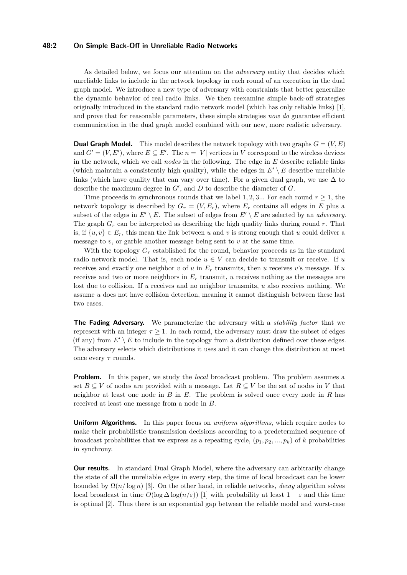### **48:2 On Simple Back-Off in Unreliable Radio Networks**

As detailed below, we focus our attention on the *adversary* entity that decides which unreliable links to include in the network topology in each round of an execution in the dual graph model. We introduce a new type of adversary with constraints that better generalize the dynamic behavior of real radio links. We then reexamine simple back-off strategies originally introduced in the standard radio network model (which has only reliable links) [\[1\]](#page-2-2), and prove that for reasonable parameters, these simple strategies *now do* guarantee efficient communication in the dual graph model combined with our new, more realistic adversary.

**Dual Graph Model.** This model describes the network topology with two graphs  $G = (V, E)$ and  $G' = (V, E')$ , where  $E \subseteq E'$ . The  $n = |V|$  vertices in *V* correspond to the wireless devices in the network, which we call *nodes* in the following. The edge in *E* describe reliable links (which maintain a consistently high quality), while the edges in  $E' \setminus E$  describe unreliable links (which have quality that can vary over time). For a given dual graph, we use  $\Delta$  to describe the maximum degree in  $G'$ , and  $D$  to describe the diameter of  $G$ .

Time proceeds in synchronous rounds that we label 1, 2, 3... For each round  $r \geq 1$ , the network topology is described by  $G_r = (V, E_r)$ , where  $E_r$  contains all edges in *E* plus a subset of the edges in  $E' \setminus E$ . The subset of edges from  $E' \setminus E$  are selected by an *adversary*. The graph *G<sup>r</sup>* can be interpreted as describing the high quality links during round *r*. That is, if  $\{u, v\} \in E_r$ , this mean the link between *u* and *v* is strong enough that *u* could deliver a message to *v*, or garble another message being sent to *v* at the same time.

With the topology  $G_r$  established for the round, behavior proceeds as in the standard radio network model. That is, each node  $u \in V$  can decide to transmit or receive. If  $u$ receives and exactly one neighbor  $v$  of  $u$  in  $E_r$  transmits, then  $u$  receives  $v$ 's message. If  $u$ receives and two or more neighbors in *E<sup>r</sup>* transmit, *u* receives nothing as the messages are lost due to collision. If *u* receives and no neighbor transmits, *u* also receives nothing. We assume *u* does not have collision detection, meaning it cannot distinguish between these last two cases.

**The Fading Adversary.** We parameterize the adversary with a *stability factor* that we represent with an integer  $\tau \geq 1$ . In each round, the adversary must draw the subset of edges (if any) from  $E' \setminus E$  to include in the topology from a distribution defined over these edges. The adversary selects which distributions it uses and it can change this distribution at most once every *τ* rounds.

**Problem.** In this paper, we study the *local* broadcast problem. The problem assumes a set  $B \subseteq V$  of nodes are provided with a message. Let  $R \subseteq V$  be the set of nodes in V that neighbor at least one node in *B* in *E*. The problem is solved once every node in *R* has received at least one message from a node in *B*.

**Uniform Algorithms.** In this paper focus on *uniform algorithms*, which require nodes to make their probabilistic transmission decisions according to a predetermined sequence of broadcast probabilities that we express as a repeating cycle,  $(p_1, p_2, ..., p_k)$  of *k* probabilities in synchrony.

**Our results.** In standard Dual Graph Model, where the adversary can arbitrarily change the state of all the unreliable edges in every step, the time of local broadcast can be lower bounded by  $\Omega(n/\log n)$  [\[3\]](#page-2-0). On the other hand, in reliable networks, *decay* algorithm solves local broadcast in time  $O(\log \Delta \log(n/\varepsilon))$  [\[1\]](#page-2-2) with probability at least  $1 - \varepsilon$  and this time is optimal [\[2\]](#page-2-3). Thus there is an exponential gap between the reliable model and worst-case